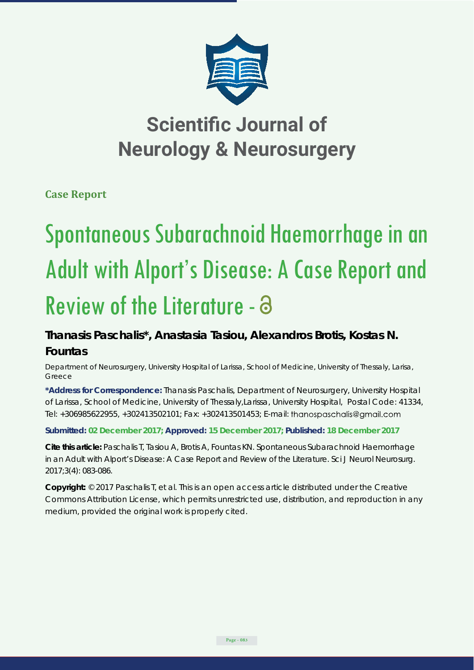

## **Scientific Journal of Neurology & Neurosurgery**

**Case Report**

# Spontaneous Subarachnoid Haemorrhage in an Adult with Alport's Disease: A Case Report and Review of the Literature - a

### **Thanasis Paschalis\*, Anastasia Tasiou, Alexandros Brotis, Kostas N. Fountas**

*Department of Neurosurgery, University Hospital of Larissa, School of Medicine, University of Thessaly, Larisa, Greece*

**\*Address for Correspondence:** Thanasis Paschalis, Department of Neurosurgery, University Hospital of Larissa, School of Medicine, University of Thessaly,Larissa, University Hospital, Postal Code: 41334, Tel: +306985622955, +302413502101; Fax: +302413501453; E-mail:

#### **Submitted: 02 December 2017; Approved: 15 December 2017; Published: 18 December 2017**

**Cite this article:** Paschalis T, Tasiou A, Brotis A, Fountas KN. Spontaneous Subarachnoid Haemorrhage in an Adult with Alport's Disease: A Case Report and Review of the Literature. Sci J Neurol Neurosurg. 2017;3(4): 083-086.

**Copyright:** © 2017 Paschalis T, et al. This is an open access article distributed under the Creative Commons Attribution License, which permits unrestricted use, distribution, and reproduction in any medium, provided the original work is properly cited.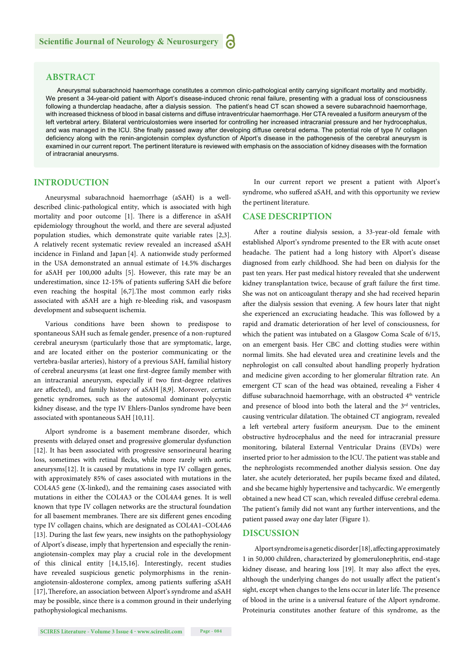#### **ABSTRACT**

Aneurysmal subarachnoid haemorrhage constitutes a common clinic-pathological entity carrying significant mortality and morbidity. We present a 34-year-old patient with Alport's disease-induced chronic renal failure, presenting with a gradual loss of consciousness following a thunderclap headache, after a dialysis session. The patient's head CT scan showed a severe subarachnoid haemorrhage, with increased thickness of blood in basal cisterns and diffuse intraventricular haemorrhage. Her CTA revealed a fusiform aneurysm of the left vertebral artery. Bilateral ventriculostomies were inserted for controlling her increased intracranial pressure and her hydrocephalus, and was managed in the ICU. She finally passed away after developing diffuse cerebral edema. The potential role of type IV collagen deficiency along with the renin-angiotensin complex dysfunction of Alport's disease in the pathogenesis of the cerebral aneurysm is examined in our current report. The pertinent literature is reviewed with emphasis on the association of kidney diseases with the formation of intracranial aneurysms.

#### **INTRODUCTION**

Aneurysmal subarachnoid haemorrhage (aSAH) is a welldescribed clinic-pathological entity, which is associated with high mortality and poor outcome [1]. There is a difference in aSAH epidemiology throughout the world, and there are several adjusted population studies, which demonstrate quite variable rates [2,3]. A relatively recent systematic review revealed an increased aSAH incidence in Finland and Japan [4]. A nationwide study performed in the USA demonstrated an annual estimate of 14.5% discharges for aSAH per 100,000 adults [5]. However, this rate may be an underestimation, since 12-15% of patients suffering SAH die before even reaching the hospital [6,7]. The most common early risks associated with aSAH are a high re-bleeding risk, and vasospasm development and subsequent ischemia.

Various conditions have been shown to predispose to spontaneous SAH such as female gender, presence of a non-ruptured cerebral aneurysm (particularly those that are symptomatic, large, and are located either on the posterior communicating or the vertebra-basilar arteries), history of a previous SAH, familial history of cerebral aneurysms (at least one first-degree family member with an intracranial aneurysm, especially if two first-degree relatives are affected), and family history of aSAH [8,9]. Moreover, certain genetic syndromes, such as the autosomal dominant polycystic kidney disease, and the type IV Ehlers-Danlos syndrome have been associated with spontaneous SAH [10,11].

Alport syndrome is a basement membrane disorder, which presents with delayed onset and progressive glomerular dysfunction [12]. It has been associated with progressive sensorineural hearing loss, sometimes with retinal flecks, while more rarely with aortic aneurysms[12]. It is caused by mutations in type IV collagen genes, with approximately 85% of cases associated with mutations in the COL4A5 gene (X-linked), and the remaining cases associated with mutations in either the COL4A3 or the COL4A4 genes. It is well known that type IV collagen networks are the structural foundation for all basement membranes. There are six different genes encoding type IV collagen chains, which are designated as COL4A1–COL4A6 [13]. During the last few years, new insights on the pathophysiology of Alport's disease, imply that hypertension and especially the reninangiotensin-complex may play a crucial role in the development of this clinical entity [14,15,16]. Interestingly, recent studies have revealed suspicious genetic polymorphisms in the reninangiotensin-aldosterone complex, among patients suffering aSAH [17], Therefore, an association between Alport's syndrome and aSAH may be possible, since there is a common ground in their underlying pathophysiological mechanisms.

In our current report we present a patient with Alport's syndrome, who suffered aSAH, and with this opportunity we review the pertinent literature.

#### **CASE DESCRIPTION**

After a routine dialysis session, a 33-year-old female with established Alport's syndrome presented to the ER with acute onset headache. The patient had a long history with Alport's disease diagnosed from early childhood. She had been on dialysis for the past ten years. Her past medical history revealed that she underwent kidney transplantation twice, because of graft failure the first time. She was not on anticoagulant therapy and she had received heparin after the dialysis session that evening. A few hours later that night she experienced an excruciating headache. This was followed by a rapid and dramatic deterioration of her level of consciousness, for which the patient was intubated on a Glasgow Coma Scale of 6/15, on an emergent basis. Her CBC and clotting studies were within normal limits. She had elevated urea and creatinine levels and the nephrologist on call consulted about handling properly hydration and medicine given according to her glomerular filtration rate. An emergent CT scan of the head was obtained, revealing a Fisher 4 diffuse subarachnoid haemorrhage, with an obstructed 4<sup>th</sup> ventricle and presence of blood into both the lateral and the 3<sup>rd</sup> ventricles, causing ventricular dilatation. The obtained CT angiogram, revealed a left vertebral artery fusiform aneurysm. Due to the eminent obstructive hydrocephalus and the need for intracranial pressure monitoring, bilateral External Ventricular Drains (EVDs) were inserted prior to her admission to the ICU. The patient was stable and the nephrologists recommended another dialysis session. One day later, she acutely deteriorated, her pupils became fixed and dilated, and she became highly hypertensive and tachycardic. We emergently obtained a new head CT scan, which revealed diffuse cerebral edema. The patient's family did not want any further interventions, and the patient passed away one day later (Figure 1).

#### **DISCUSSION**

Alport syndrome is a genetic disorder [18], affecting approximately 1 in 50,000 children, characterized by glomerulonephritis, end-stage kidney disease, and hearing loss [19]. It may also affect the eyes, although the underlying changes do not usually affect the patient's sight, except when changes to the lens occur in later life. The presence of blood in the urine is a universal feature of the Alport syndrome. Proteinuria constitutes another feature of this syndrome, as the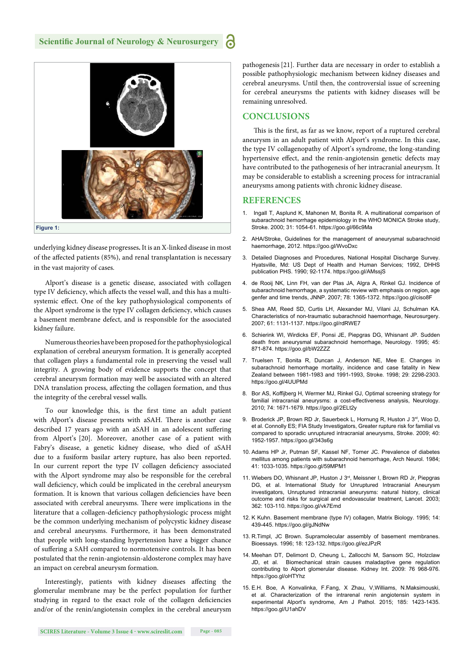

underlying kidney disease progresses**.** It is an X-linked disease in most of the affected patients (85%), and renal transplantation is necessary in the vast majority of cases.

Alport's disease is a genetic disease, associated with collagen type IV deficiency, which affects the vessel wall, and this has a multisystemic effect. One of the key pathophysiological components of the Alport syndrome is the type IV collagen deficiency, which causes a basement membrane defect, and is responsible for the associated kidney failure.

Numerous theories have been proposed for the pathophysiological explanation of cerebral aneurysm formation. It is generally accepted that collagen plays a fundamental role in preserving the vessel wall integrity. A growing body of evidence supports the concept that cerebral aneurysm formation may well be associated with an altered DNA translation process, affecting the collagen formation, and thus the integrity of the cerebral vessel walls.

To our knowledge this, is the first time an adult patient with Alport's disease presents with aSAH. There is another case described 17 years ago with an aSAH in an adolescent suffering from Alport's [20]. Moreover, another case of a patient with Fabry's disease, a genetic kidney disease, who died of aSAH due to a fusiform basilar artery rupture, has also been reported. In our current report the type IV collagen deficiency associated with the Alport syndrome may also be responsible for the cerebral wall deficiency, which could be implicated in the cerebral aneurysm formation. It is known that various collagen deficiencies have been associated with cerebral aneurysms. There were implications in the literature that a collagen-deficiency pathophysiologic process might be the common underlying mechanism of polycystic kidney disease and cerebral aneurysms. Furthermore, it has been demonstrated that people with long-standing hypertension have a bigger chance of suffering a SAH compared to normotensive controls. It has been postulated that the renin-angiotensin-aldosterone complex may have an impact on cerebral aneurysm formation.

Interestingly, patients with kidney diseases affecting the glomerular membrane may be the perfect population for further studying in regard to the exact role of the collagen deficiencies and/or of the renin/angiotensin complex in the cerebral aneurysm pathogenesis[21]. Further data are necessary in order to establish a possible pathophysiologic mechanism between kidney diseases and cerebral aneurysms. Until then, the controversial issue of screening for cerebral aneurysms the patients with kidney diseases will be remaining unresolved.

#### **CONCLUSIONS**

This is the first, as far as we know, report of a ruptured cerebral aneurysm in an adult patient with Alport's syndrome. In this case, the type IV collagenopathy of Alport's syndrome, the long-standing hypertensive effect, and the renin-angiotensin genetic defects may have contributed to the pathogenesis of her intracranial aneurysm. It may be considerable to establish a screening process for intracranial aneurysms among patients with chronic kidney disease.

#### **REFERENCES**

- 1. Ingall T, Asplund K, Mahonen M, Bonita R. A multinational comparison of subarachnoid hemorrhage epidemiology in the WHO MONICA Stroke study, Stroke. 2000; 31: 1054-61. https://goo.gl/66c9Ma
- 2. AHA/Stroke, Guidelines for the management of aneurysmal subarachnoid haemorrhage, 2012. https://goo.gl/WvoDxc
- 3. Detailed Diagnoses and Procedures, National Hospital Discharge Survey. Hyatsville, Md: US Dept of Health and Human Services; 1992, DHHS publication PHS. 1990; 92-1174. https://goo.gl/AMssjS
- 4. de Rooij NK, Linn FH, van der Plas JA, Algra A, Rinkel GJ. Incidence of subarachnoid hemorrhage, a systematic review with emphasis on region, age genfer and time trends, JNNP. 2007; 78: 1365-1372. https://goo.gl/ciso8F
- 5. Shea AM, Reed SD, Curtis LH, Alexander MJ, Vilani JJ, Schulman KA. Characteristics of non-traumatic subarachnoid haemorrhage, Neurosurgery. 2007; 61: 1131-1137. https://goo.gl/rdRWE7
- 6. Schierink WI, Wirdicks EF, Ponsi JE, Piepgras DG, Whisnant JP. Sudden death from aneurysmal subarachnoid hemorrhage, Neurology. 1995; 45: 871-874. https://goo.gl/bW2777
- 7. Truelsen T, Bonita R, Duncan J, Anderson NE, Mee E. Changes in subarachnoid hemorrhage mortality, incidence and case fatality in New Zealand between 1981-1983 and 1991-1993, Stroke. 1998; 29: 2298-2303. https://goo.gl/4UUPMd
- 8. Bor AS, Koffijberg H, Wermer MJ, Rinkel GJ, Optimal screening strategy for familial intracranial aneurysms: a cost-effectiveness analysis, Neurology. 2010; 74: 1671-1679. https://goo.gl/2ELt2y
- 9. Broderick JP, Brown RD Jr, Sauerbeck L, Hornung R, Huston J 3rd, Woo D, et al. Connolly ES; FIA Study Investigators, Greater rupture risk for familial vs compared to sporadic unruptured intracranial aneurysms, Stroke. 2009; 40: 1952-1957. https://goo.gl/343s6g
- 10. Adams HP Jr, Putman SF, Kassel NF, Torner JC. Prevalence of diabetes mellitus among patients with subarachnoid hemorrhage, Arch Neurol. 1984; 41: 1033-1035. https://goo.gl/59MPM1
- 11. Wiebers DO, Whisnant JP, Huston J 3<sup>rd</sup>, Meissner I, Brown RD Jr, Piepgras DG, et al. International Study for Unruptured Intracranial Aneurysm investigators, Unruptured intracranial aneurysms: natural history, clinical outcome and risks for surgical and endovascular treatment, Lancet. 2003; 362: 103-110. https://goo.gl/vk7Emd
- 12. K Kuhn. Basement membrane (type IV) collagen, Matrix Biology. 1995; 14: 439-445. https://goo.gl/gJNdNw
- 13. R.Timpl, JC Brown. Supramolecular assembly of basement membranes. Bioessays. 1996; 18: 123-132. https://goo.gl/ezJPzR
- 14. Meehan DT, Delimont D, Cheung L, Zallocchi M, Sansom SC, Holzclaw JD, et al. Biomechanical strain causes maladaptive gene regulation contributing to Alport glomerular disease. Kidney Int. 2009: 76 968-976. https://goo.gl/oHTYhz
- 15. E.H. Boe, A Konvalinka, F.Fang, X Zhau, V,Williams, N.Maksimouski, et al. Characterization of the intrarenal renin angiotensin system in experimental Alport's syndrome, Am J Pathol. 2015; 185: 1423-1435. https://goo.gl/U1ahDV